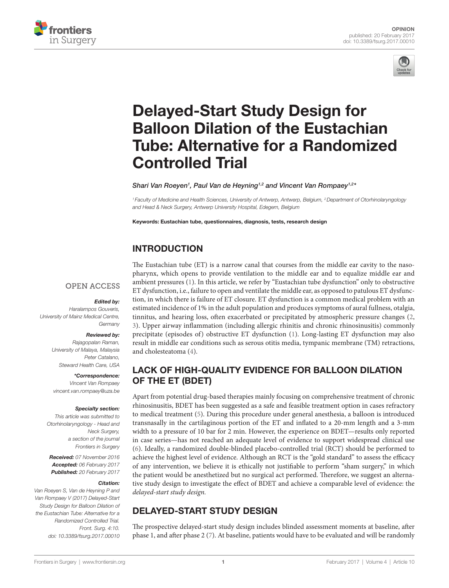



# [Delayed-Start Study Design for](http://www.frontiersin.org/Journal/10.3389/fsurg.2017.00010/abstract)  [Balloon Dilation of the Eustachian](http://www.frontiersin.org/Journal/10.3389/fsurg.2017.00010/abstract)  [Tube: Alternative for a Randomized](http://www.frontiersin.org/Journal/10.3389/fsurg.2017.00010/abstract)  [Controlled Trial](http://www.frontiersin.org/Journal/10.3389/fsurg.2017.00010/abstract)

*Shari Van Roeyen1 , [Paul Van de Heyning1](http://loop.frontiersin.org/people/339074),2 and [Vincent Van Rompaey1](http://loop.frontiersin.org/people/257549),2\**

*<sup>1</sup> Faculty of Medicine and Health Sciences, University of Antwerp, Antwerp, Belgium, 2Department of Otorhinolaryngology and Head & Neck Surgery, Antwerp University Hospital, Edegem, Belgium*

Keywords: Eustachian tube, questionnaires, diagnosis, tests, research design

# INTRODUCTION

#### **OPEN ACCESS**

#### *Edited by:*

*Haralampos Gouveris, University of Mainz Medical Centre, Germany*

#### *Reviewed by:*

*Rajagopalan Raman, University of Malaya, Malaysia Peter Catalano, Steward Health Care, USA*

*\*Correspondence:*

*Vincent Van Rompaey [vincent.van.rompaey@uza.be](mailto:vincent.van.rompaey@uza.be)*

#### *Specialty section:*

*This article was submitted to Otorhinolaryngology - Head and Neck Surgery, a section of the journal Frontiers in Surgery*

*Received: 07 November 2016 Accepted: 06 February 2017 Published: 20 February 2017*

#### *Citation:*

*Van Roeyen S, Van de Heyning P and Van Rompaey V (2017) Delayed-Start Study Design for Balloon Dilation of the Eustachian Tube: Alternative for a Randomized Controlled Trial. Front. Surg. 4:10. doi: [10.3389/fsurg.2017.00010](https://doi.org/10.3389/fsurg.2017.00010)*

The Eustachian tube (ET) is a narrow canal that courses from the middle ear cavity to the nasopharynx, which opens to provide ventilation to the middle ear and to equalize middle ear and ambient pressures ([1](#page-2-0)). In this article, we refer by "Eustachian tube dysfunction" only to obstructive ET dysfunction, i.e., failure to open and ventilate the middle ear, as opposed to patulous ET dysfunction, in which there is failure of ET closure. ET dysfunction is a common medical problem with an estimated incidence of 1% in the adult population and produces symptoms of aural fullness, otalgia, tinnitus, and hearing loss, often exacerbated or precipitated by atmospheric pressure changes [\(2,](#page-2-1) [3](#page-2-2)). Upper airway inflammation (including allergic rhinitis and chronic rhinosinusitis) commonly precipitate (episodes of) obstructive ET dysfunction ([1](#page-2-0)). Long-lasting ET dysfunction may also result in middle ear conditions such as serous otitis media, tympanic membrane (TM) retractions, and cholesteatoma [\(4\)](#page-2-3).

# LACK OF HIGH-QUALITY EVIDENCE FOR BALLOON DILATION OF THE ET (BDET)

Apart from potential drug-based therapies mainly focusing on comprehensive treatment of chronic rhinosinusitis, BDET has been suggested as a safe and feasible treatment option in cases refractory to medical treatment [\(5](#page-2-4)). During this procedure under general anesthesia, a balloon is introduced transnasally in the cartilaginous portion of the ET and inflated to a 20-mm length and a 3-mm width to a pressure of 10 bar for 2 min. However, the experience on BDET—results only reported in case series—has not reached an adequate level of evidence to support widespread clinical use [\(6\)](#page-2-5). Ideally, a randomized double-blinded placebo-controlled trial (RCT) should be performed to achieve the highest level of evidence. Although an RCT is the "gold standard" to assess the efficacy of any intervention, we believe it is ethically not justifiable to perform "sham surgery," in which the patient would be anesthetized but no surgical act performed. Therefore, we suggest an alternative study design to investigate the effect of BDET and achieve a comparable level of evidence: the *delayed-start study design.*

# DELAYED-START STUDY DESIGN

The prospective delayed-start study design includes blinded assessment moments at baseline, after phase 1, and after phase 2 ([7](#page-2-6)). At baseline, patients would have to be evaluated and will be randomly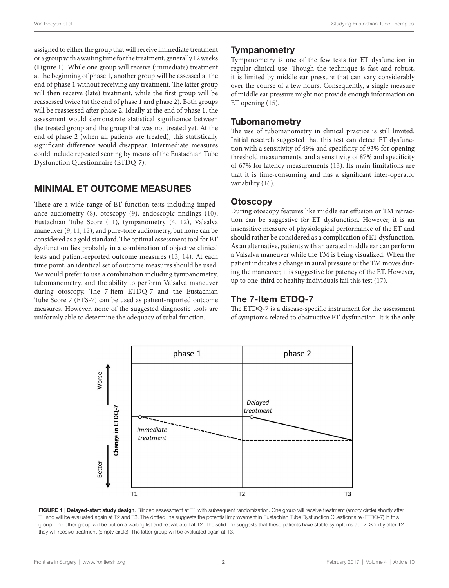assigned to either the group that will receive immediate treatment or a group with a waiting time for the treatment, generally 12 weeks (**[Figure 1](#page-1-0)**). While one group will receive (immediate) treatment at the beginning of phase 1, another group will be assessed at the end of phase 1 without receiving any treatment. The latter group will then receive (late) treatment, while the first group will be reassessed twice (at the end of phase 1 and phase 2). Both groups will be reassessed after phase 2. Ideally at the end of phase 1, the assessment would demonstrate statistical significance between the treated group and the group that was not treated yet. At the end of phase 2 (when all patients are treated), this statistically significant difference would disappear. Intermediate measures could include repeated scoring by means of the Eustachian Tube Dysfunction Questionnaire (ETDQ-7).

## MINIMAL ET OUTCOME MEASURES

There are a wide range of ET function tests including impedance audiometry ([8](#page-2-7)), otoscopy ([9](#page-2-8)), endoscopic findings ([10\)](#page-2-9), Eustachian Tube Score ([11\)](#page-2-10), tympanometry ([4](#page-2-3), [12](#page-2-11)), Valsalva maneuver [\(9,](#page-2-8) [11](#page-2-10), [12](#page-2-11)), and pure-tone audiometry, but none can be considered as a gold standard. The optimal assessment tool for ET dysfunction lies probably in a combination of objective clinical tests and patient-reported outcome measures [\(13](#page-2-12), [14\)](#page-2-13). At each time point, an identical set of outcome measures should be used. We would prefer to use a combination including tympanometry, tubomanometry, and the ability to perform Valsalva maneuver during otoscopy. The 7-item ETDQ-7 and the Eustachian Tube Score 7 (ETS-7) can be used as patient-reported outcome measures. However, none of the suggested diagnostic tools are uniformly able to determine the adequacy of tubal function.

## **Tympanometry**

Tympanometry is one of the few tests for ET dysfunction in regular clinical use. Though the technique is fast and robust, it is limited by middle ear pressure that can vary considerably over the course of a few hours. Consequently, a single measure of middle ear pressure might not provide enough information on ET opening [\(15](#page-2-14)).

#### **Tubomanometry**

The use of tubomanometry in clinical practice is still limited. Initial research suggested that this test can detect ET dysfunction with a sensitivity of 49% and specificity of 93% for opening threshold measurements, and a sensitivity of 87% and specificity of 67% for latency measurements ([13\)](#page-2-12). Its main limitations are that it is time-consuming and has a significant inter-operator variability ([16\)](#page-2-15).

## **Otoscopy**

During otoscopy features like middle ear effusion or TM retraction can be suggestive for ET dysfunction. However, it is an insensitive measure of physiological performance of the ET and should rather be considered as a complication of ET dysfunction. As an alternative, patients with an aerated middle ear can perform a Valsalva maneuver while the TM is being visualized. When the patient indicates a change in aural pressure or the TM moves during the maneuver, it is suggestive for patency of the ET. However, up to one-third of healthy individuals fail this test [\(17\)](#page-2-16).

# The 7-Item ETDQ-7

<span id="page-1-0"></span>The ETDQ-7 is a disease-specific instrument for the assessment of symptoms related to obstructive ET dysfunction. It is the only

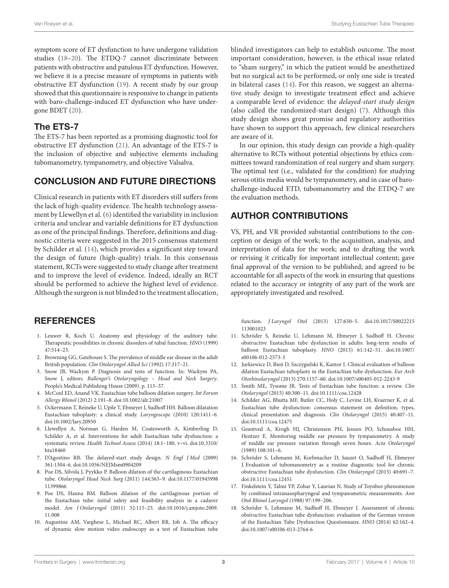symptom score of ET dysfunction to have undergone validation studies [\(18–](#page-2-17)[20\)](#page-3-0). The ETDQ-7 cannot discriminate between patients with obstructive and patulous ET dysfunction. However, we believe it is a precise measure of symptoms in patients with obstructive ET dysfunction [\(19](#page-3-1)). A recent study by our group showed that this questionnaire is responsive to change in patients with baro-challenge-induced ET dysfunction who have undergone BDET ([20](#page-3-0)).

#### The ETS-7

The ETS-7 has been reported as a promising diagnostic tool for obstructive ET dysfunction ([21](#page-3-2)). An advantage of the ETS-7 is the inclusion of objective and subjective elements including tubomanometry, tympanometry, and objective Valsalva.

#### CONCLUSION AND FUTURE DIRECTIONS

Clinical research in patients with ET disorders still suffers from the lack of high-quality evidence. The health technology assessment by Llewellyn et al. ([6\)](#page-2-5) identified the variability in inclusion criteria and unclear and variable definitions for ET dysfunction as one of the principal findings. Therefore, definitions and diagnostic criteria were suggested in the 2015 consensus statement by Schilder et al. ([14\)](#page-2-13), which provides a significant step toward the design of future (high-quality) trials. In this consensus statement, RCTs were suggested to study change after treatment and to improve the level of evidence. Indeed, ideally an RCT should be performed to achieve the highest level of evidence. Although the surgeon is not blinded to the treatment allocation,

### **REFERENCES**

- <span id="page-2-0"></span>1. Leuwer R, Koch U. Anatomy and physiology of the auditory tube. Therapeutic possibilities in chronic disorders of tubal function. *HNO* (1999) 47:514–23.
- <span id="page-2-1"></span>2. Browning GG, Gatehouse S. The prevalence of middle ear disease in the adult British population. *Clin Otolaryngol Allied Sci* (1992) 17:317–21.
- <span id="page-2-2"></span>3. Snow JB, Wackym P. Diagnosis and tests of function. In: Wackym PA, Snow J, editors. *Ballenger's Otolaryngology – Head and Neck Surgery*. People's Medical Publishing House (2009). p. 113–37.
- <span id="page-2-3"></span>4. McCoul ED, Anand VK. Eustachian tube balloon dilation surgery. *Int Forum Allergy Rhinol* (2012) 2:191–8. doi:[10.1002/alr.21007](https://doi.org/10.1002/alr.21007)
- <span id="page-2-4"></span>5. Ockermann T, Reineke U, Upile T, Ebmeyer J, Sudhoff HH. Balloon dilatation Eustachian tuboplasty: a clinical study. *Laryngoscope* (2010) 120:1411–6. doi:[10.1002/lary.20950](https://doi.org/10.1002/lary.20950)
- <span id="page-2-5"></span>6. Llewellyn A, Norman G, Harden M, Coatesworth A, Kimberling D, Schilder A, et al. Interventions for adult Eustachian tube dysfunction: a systematic review. *Health Technol Assess* (2014) 18:1–180, v–vi. doi[:10.3310/](https://doi.org/10.3310/hta18460) [hta18460](https://doi.org/10.3310/hta18460)
- <span id="page-2-6"></span>7. D'Agostino RB. The delayed-start study design. *N Engl J Med* (2009) 361:1304–6. doi:[10.1056/NEJMsm0904209](https://doi.org/10.1056/NEJMsm0904209)
- <span id="page-2-7"></span>8. Poe DS, Silvola J, Pyykko P. Balloon dilation of the cartilaginous Eustachian tube. *Otolaryngol Head Neck Surg* (2011) 144:563–9. doi:[10.1177/01945998](https://doi.org/10.1177/01945998
11399866) [11399866](https://doi.org/10.1177/01945998
11399866)
- <span id="page-2-8"></span>9. Poe DS, Hanna BM. Balloon dilation of the cartilaginous portion of the Eustachian tube: initial safety and feasibility analysis in a cadaver model. *Am J Otolaryngol* (2011) 32:115–23. doi[:10.1016/j.amjoto.2009.](https://doi.org/10.1016/j.amjoto.2009.
11.008) [11.008](https://doi.org/10.1016/j.amjoto.2009.
11.008)
- <span id="page-2-9"></span>10. Augustine AM, Varghese L, Michael RC, Albert RR, Job A. The efficacy of dynamic slow motion video endoscopy as a test of Eustachian tube

blinded investigators can help to establish outcome. The most important consideration, however, is the ethical issue related to "sham surgery," in which the patient would be anesthetized but no surgical act to be performed, or only one side is treated in bilateral cases [\(14\)](#page-2-13). For this reason, we suggest an alternative study design to investigate treatment effect and achieve a comparable level of evidence: the *delayed-start study design* (also called the randomized-start design) [\(7\)](#page-2-6). Although this study design shows great promise and regulatory authorities have shown to support this approach, few clinical researchers are aware of it.

In our opinion, this study design can provide a high-quality alternative to RCTs without potential objections by ethics committees toward randomization of real surgery and sham surgery. The optimal test (i.e., validated for the condition) for studying serous otitis media would be tympanometry, and in case of barochallenge-induced ETD, tubomanometry and the ETDQ-7 are the evaluation methods.

### AUTHOR CONTRIBUTIONS

VS, PH, and VR provided substantial contributions to the conception or design of the work; to the acquisition, analysis, and interpretation of data for the work; and to drafting the work or revising it critically for important intellectual content; gave final approval of the version to be published; and agreed to be accountable for all aspects of the work in ensuring that questions related to the accuracy or integrity of any part of the work are appropriately investigated and resolved.

<span id="page-2-10"></span>function. *J Laryngol Otol* (2013) 127:650–5. doi[:10.1017/S0022215](https://doi.org/10.1017/S0022215
113001023) [113001023](https://doi.org/10.1017/S0022215
113001023) 

- 11. Schröder S, Reineke U, Lehmann M, Ebmeyer J, Sudhoff H. Chronic obstructive Eustachian tube dysfunction in adults: long-term results of balloon Eustachian tuboplasty. *HNO* (2013) 61:142–51. doi:[10.1007/](https://doi.org/10.1007/s00106-012-2573-3) [s00106-012-2573-3](https://doi.org/10.1007/s00106-012-2573-3)
- <span id="page-2-11"></span>12. Jurkiewicz D, Bień D, Szczygielski K, Kantor I. Clinical evaluation of balloon dilation Eustachian tuboplasty in the Eustachian tube dysfunction. *Eur Arch Otorhinolaryngol* (2013) 270:1157–60. doi:[10.1007/s00405-012-2243-9](https://doi.org/10.1007/s00405-012-2243-9)
- <span id="page-2-12"></span>13. Smith ME, Tysome JR. Tests of Eustachian tube function: a review. *Clin Otolaryngol* (2015) 40:300–11. doi:[10.1111/coa.12428](https://doi.org/10.1111/coa.12428)
- <span id="page-2-13"></span>14. Schilder AG, Bhutta MF, Butler CC, Holy C, Levine LH, Kvaerner K, et al. Eustachian tube dysfunction: consensus statement on definition, types, clinical presentation and diagnosis. *Clin Otolaryngol* (2015) 40:407–11. doi:[10.1111/coa.12475](https://doi.org/10.1111/coa.12475)
- <span id="page-2-14"></span>15. Grøntved A, Krogh HJ, Christensen PH, Jensen PO, Schousboe HH, Hentzer E. Monitoring middle ear pressure by tympanometry. A study of middle ear pressure variation through seven hours. *Acta Otolaryngol* (1989) 108:101–6.
- <span id="page-2-15"></span>16. Schröder S, Lehmann M, Korbmacher D, Sauzet O, Sudhoff H, Ebmeyer J. Evaluation of tubomanometry as a routine diagnostic tool for chronic obstructive Eustachian tube dysfunction. *Clin Otolaryngol* (2015) 40:691–7. doi:[10.1111/coa.12451](https://doi.org/10.1111/coa.12451)
- <span id="page-2-16"></span>17. Finkelstein Y, Talmi YP, Zohar Y, Laurian N. Study of Toynbee phenomenon by combined intranasopharyngeal and tympanometric measurements. *Ann Otol Rhinol Laryngol* (1988) 97:199–206.
- <span id="page-2-17"></span>18. Schröder S, Lehmann M, Sudhoff H, Ebmeyer J. Assessment of chronic obstructive Eustachian tube dysfunction: evaluation of the German version of the Eustachian Tube Dysfunction Questionnaire. *HNO* (2014) 62:162–4. doi:[10.1007/s00106-013-2764-6](https://doi.org/10.1007/s00106-013-2764-6)